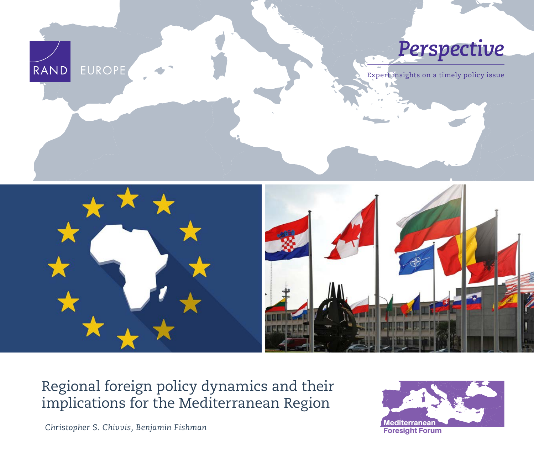



# [Regional foreign policy dynamics and their](http://www.rand.org/pubs/perspectives/PE223.html)  implications for the Mediterranean Region

**Christopher S. Chivvis, Benjamin Fishman** Mediterranean Mediterranean Mediterranean

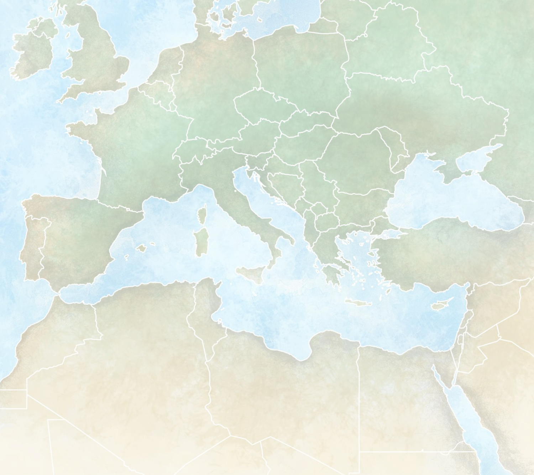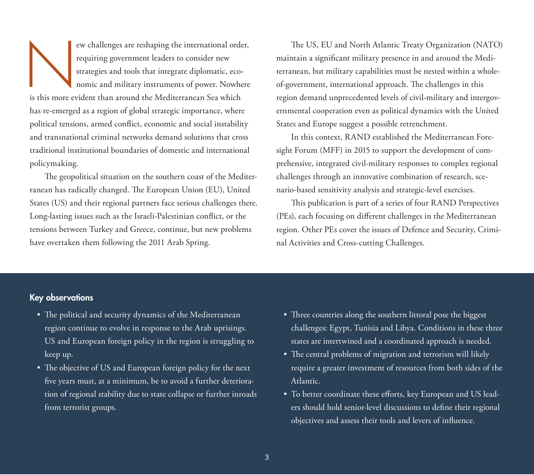ew challenges are reshaping the international order,<br>requiring government leaders to consider new<br>strategies and tools that integrate diplomatic, eco-<br>nomic and military instruments of power. Nowhere<br>is this more evident t requiring government leaders to consider new strategies and tools that integrate diplomatic, economic and military instruments of power. Nowhere is this more evident than around the Mediterranean Sea which has re-emerged as a region of global strategic importance, where political tensions, armed conflict, economic and social instability and transnational criminal networks demand solutions that cross traditional institutional boundaries of domestic and international policymaking.

The geopolitical situation on the southern coast of the Mediterranean has radically changed. The European Union (EU), United States (US) and their regional partners face serious challenges there. Long-lasting issues such as the Israeli-Palestinian conflict, or the tensions between Turkey and Greece, continue, but new problems have overtaken them following the 2011 Arab Spring.

The US, EU and North Atlantic Treaty Organization (NATO) maintain a significant military presence in and around the Mediterranean, but military capabilities must be nested within a wholeof-government, international approach. The challenges in this region demand unprecedented levels of civil-military and intergovernmental cooperation even as political dynamics with the United States and Europe suggest a possible retrenchment.

In this context, RAND established the Mediterranean Foresight Forum (MFF) in 2015 to support the development of comprehensive, integrated civil-military responses to complex regional challenges through an innovative combination of research, scenario-based sensitivity analysis and strategic-level exercises.

This publication is part of a series of four RAND Perspectives (PEs), each focusing on different challenges in the Mediterranean region. Other PEs cover the issues of Defence and Security, Criminal Activities and Cross-cutting Challenges.

#### Key observations

- The political and security dynamics of the Mediterranean region continue to evolve in response to the Arab uprisings. US and European foreign policy in the region is struggling to keep up.
- The objective of US and European foreign policy for the next five years must, at a minimum, be to avoid a further deterioration of regional stability due to state collapse or further inroads from terrorist groups.
- Three countries along the southern littoral pose the biggest challenges: Egypt, Tunisia and Libya. Conditions in these three states are intertwined and a coordinated approach is needed.
- The central problems of migration and terrorism will likely require a greater investment of resources from both sides of the Atlantic.
- To better coordinate these efforts, key European and US leaders should hold senior-level discussions to define their regional objectives and assess their tools and levers of influence.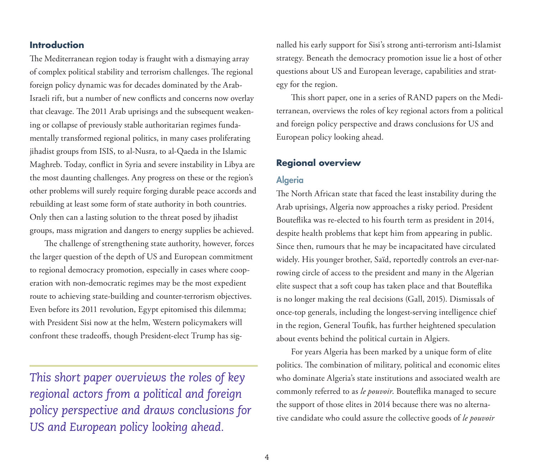#### **Introduction**

The Mediterranean region today is fraught with a dismaying array of complex political stability and terrorism challenges. The regional foreign policy dynamic was for decades dominated by the Arab-Israeli rift, but a number of new conflicts and concerns now overlay that cleavage. The 2011 Arab uprisings and the subsequent weakening or collapse of previously stable authoritarian regimes fundamentally transformed regional politics, in many cases proliferating jihadist groups from ISIS, to al-Nusra, to al-Qaeda in the Islamic Maghreb. Today, conflict in Syria and severe instability in Libya are the most daunting challenges. Any progress on these or the region's other problems will surely require forging durable peace accords and rebuilding at least some form of state authority in both countries. Only then can a lasting solution to the threat posed by jihadist groups, mass migration and dangers to energy supplies be achieved.

The challenge of strengthening state authority, however, forces the larger question of the depth of US and European commitment to regional democracy promotion, especially in cases where cooperation with non-democratic regimes may be the most expedient route to achieving state-building and counter-terrorism objectives. Even before its 2011 revolution, Egypt epitomised this dilemma; with President Sisi now at the helm, Western policymakers will confront these tradeoffs, though President-elect Trump has sig-

*This short paper overviews the roles of key regional actors from a political and foreign policy perspective and draws conclusions for US and European policy looking ahead.*

nalled his early support for Sisi's strong anti-terrorism anti-Islamist strategy. Beneath the democracy promotion issue lie a host of other questions about US and European leverage, capabilities and strategy for the region.

This short paper, one in a series of RAND papers on the Mediterranean, overviews the roles of key regional actors from a political and foreign policy perspective and draws conclusions for US and European policy looking ahead.

#### **Regional overview**

#### Algeria

The North African state that faced the least instability during the Arab uprisings, Algeria now approaches a risky period. President Bouteflika was re-elected to his fourth term as president in 2014, despite health problems that kept him from appearing in public. Since then, rumours that he may be incapacitated have circulated widely. His younger brother, Saïd, reportedly controls an ever-narrowing circle of access to the president and many in the Algerian elite suspect that a soft coup has taken place and that Bouteflika is no longer making the real decisions (Gall, 2015). Dismissals of once-top generals, including the longest-serving intelligence chief in the region, General Toufik, has further heightened speculation about events behind the political curtain in Algiers.

For years Algeria has been marked by a unique form of elite politics. The combination of military, political and economic elites who dominate Algeria's state institutions and associated wealth are commonly referred to as *le pouvoir*. Bouteflika managed to secure the support of those elites in 2014 because there was no alternative candidate who could assure the collective goods of *le pouvoir*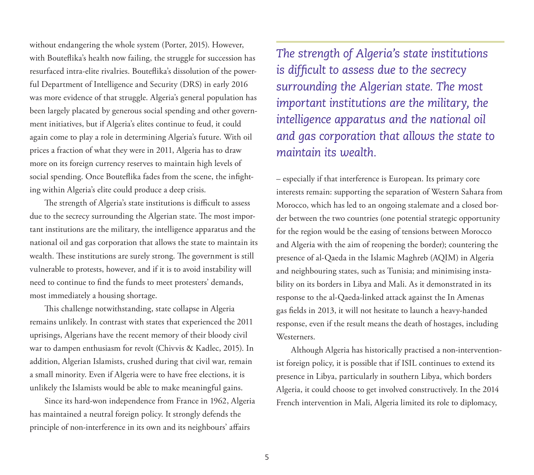without endangering the whole system (Porter, 2015). However, with Bouteflika's health now failing, the struggle for succession has resurfaced intra-elite rivalries. Bouteflika's dissolution of the powerful Department of Intelligence and Security (DRS) in early 2016 was more evidence of that struggle. Algeria's general population has been largely placated by generous social spending and other government initiatives, but if Algeria's elites continue to feud, it could again come to play a role in determining Algeria's future. With oil prices a fraction of what they were in 2011, Algeria has to draw more on its foreign currency reserves to maintain high levels of social spending. Once Bouteflika fades from the scene, the infighting within Algeria's elite could produce a deep crisis.

The strength of Algeria's state institutions is difficult to assess due to the secrecy surrounding the Algerian state. The most important institutions are the military, the intelligence apparatus and the national oil and gas corporation that allows the state to maintain its wealth. These institutions are surely strong. The government is still vulnerable to protests, however, and if it is to avoid instability will need to continue to find the funds to meet protesters' demands, most immediately a housing shortage.

This challenge notwithstanding, state collapse in Algeria remains unlikely. In contrast with states that experienced the 2011 uprisings, Algerians have the recent memory of their bloody civil war to dampen enthusiasm for revolt (Chivvis & Kadlec, 2015). In addition, Algerian Islamists, crushed during that civil war, remain a small minority. Even if Algeria were to have free elections, it is unlikely the Islamists would be able to make meaningful gains.

Since its hard-won independence from France in 1962, Algeria has maintained a neutral foreign policy. It strongly defends the principle of non-interference in its own and its neighbours' affairs

*The strength of Algeria's state institutions is difficult to assess due to the secrecy surrounding the Algerian state. The most important institutions are the military, the intelligence apparatus and the national oil and gas corporation that allows the state to maintain its wealth.*

– especially if that interference is European. Its primary core interests remain: supporting the separation of Western Sahara from Morocco, which has led to an ongoing stalemate and a closed border between the two countries (one potential strategic opportunity for the region would be the easing of tensions between Morocco and Algeria with the aim of reopening the border); countering the presence of al-Qaeda in the Islamic Maghreb (AQIM) in Algeria and neighbouring states, such as Tunisia; and minimising instability on its borders in Libya and Mali. As it demonstrated in its response to the al-Qaeda-linked attack against the In Amenas gas fields in 2013, it will not hesitate to launch a heavy-handed response, even if the result means the death of hostages, including Westerners.

Although Algeria has historically practised a non-interventionist foreign policy, it is possible that if ISIL continues to extend its presence in Libya, particularly in southern Libya, which borders Algeria, it could choose to get involved constructively. In the 2014 French intervention in Mali, Algeria limited its role to diplomacy,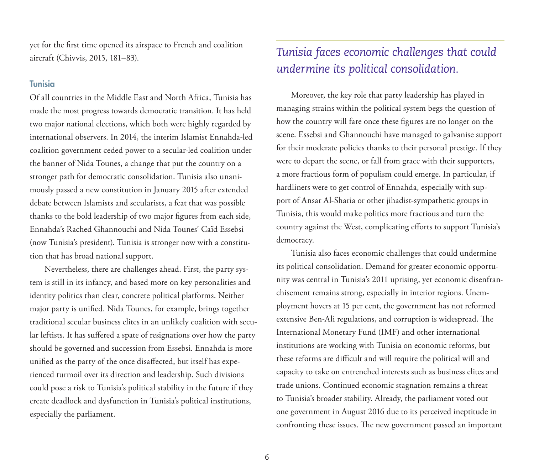yet for the first time opened its airspace to French and coalition aircraft (Chivvis, 2015, 181–83).

#### Tunisia

Of all countries in the Middle East and North Africa, Tunisia has made the most progress towards democratic transition. It has held two major national elections, which both were highly regarded by international observers. In 2014, the interim Islamist Ennahda-led coalition government ceded power to a secular-led coalition under the banner of Nida Tounes, a change that put the country on a stronger path for democratic consolidation. Tunisia also unanimously passed a new constitution in January 2015 after extended debate between Islamists and secularists, a feat that was possible thanks to the bold leadership of two major figures from each side, Ennahda's Rached Ghannouchi and Nida Tounes' Caïd Essebsi (now Tunisia's president). Tunisia is stronger now with a constitution that has broad national support.

Nevertheless, there are challenges ahead. First, the party system is still in its infancy, and based more on key personalities and identity politics than clear, concrete political platforms. Neither major party is unified. Nida Tounes, for example, brings together traditional secular business elites in an unlikely coalition with secular leftists. It has suffered a spate of resignations over how the party should be governed and succession from Essebsi. Ennahda is more unified as the party of the once disaffected, but itself has experienced turmoil over its direction and leadership. Such divisions could pose a risk to Tunisia's political stability in the future if they create deadlock and dysfunction in Tunisia's political institutions, especially the parliament.

### *Tunisia faces economic challenges that could undermine its political consolidation.*

Moreover, the key role that party leadership has played in managing strains within the political system begs the question of how the country will fare once these figures are no longer on the scene. Essebsi and Ghannouchi have managed to galvanise support for their moderate policies thanks to their personal prestige. If they were to depart the scene, or fall from grace with their supporters, a more fractious form of populism could emerge. In particular, if hardliners were to get control of Ennahda, especially with support of Ansar Al-Sharia or other jihadist-sympathetic groups in Tunisia, this would make politics more fractious and turn the country against the West, complicating efforts to support Tunisia's democracy.

Tunisia also faces economic challenges that could undermine its political consolidation. Demand for greater economic opportunity was central in Tunisia's 2011 uprising, yet economic disenfranchisement remains strong, especially in interior regions. Unemployment hovers at 15 per cent, the government has not reformed extensive Ben-Ali regulations, and corruption is widespread. The International Monetary Fund (IMF) and other international institutions are working with Tunisia on economic reforms, but these reforms are difficult and will require the political will and capacity to take on entrenched interests such as business elites and trade unions. Continued economic stagnation remains a threat to Tunisia's broader stability. Already, the parliament voted out one government in August 2016 due to its perceived ineptitude in confronting these issues. The new government passed an important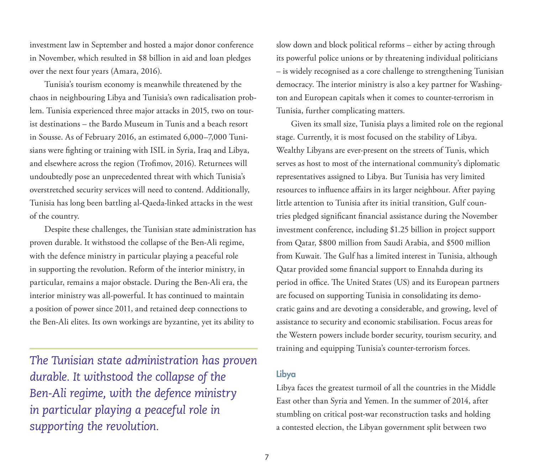investment law in September and hosted a major donor conference in November, which resulted in \$8 billion in aid and loan pledges over the next four years (Amara, 2016).

Tunisia's tourism economy is meanwhile threatened by the chaos in neighbouring Libya and Tunisia's own radicalisation problem. Tunisia experienced three major attacks in 2015, two on tourist destinations – the Bardo Museum in Tunis and a beach resort in Sousse. As of February 2016, an estimated 6,000–7,000 Tunisians were fighting or training with ISIL in Syria, Iraq and Libya, and elsewhere across the region (Trofimov, 2016). Returnees will undoubtedly pose an unprecedented threat with which Tunisia's overstretched security services will need to contend. Additionally, Tunisia has long been battling al-Qaeda-linked attacks in the west of the country.

Despite these challenges, the Tunisian state administration has proven durable. It withstood the collapse of the Ben-Ali regime, with the defence ministry in particular playing a peaceful role in supporting the revolution. Reform of the interior ministry, in particular, remains a major obstacle. During the Ben-Ali era, the interior ministry was all-powerful. It has continued to maintain a position of power since 2011, and retained deep connections to the Ben-Ali elites. Its own workings are byzantine, yet its ability to

*The Tunisian state administration has proven durable. It withstood the collapse of the Ben-Ali regime, with the defence ministry in particular playing a peaceful role in supporting the revolution.*

slow down and block political reforms – either by acting through its powerful police unions or by threatening individual politicians – is widely recognised as a core challenge to strengthening Tunisian democracy. The interior ministry is also a key partner for Washington and European capitals when it comes to counter-terrorism in Tunisia, further complicating matters.

Given its small size, Tunisia plays a limited role on the regional stage. Currently, it is most focused on the stability of Libya. Wealthy Libyans are ever-present on the streets of Tunis, which serves as host to most of the international community's diplomatic representatives assigned to Libya. But Tunisia has very limited resources to influence affairs in its larger neighbour. After paying little attention to Tunisia after its initial transition, Gulf countries pledged significant financial assistance during the November investment conference, including \$1.25 billion in project support from Qatar, \$800 million from Saudi Arabia, and \$500 million from Kuwait. The Gulf has a limited interest in Tunisia, although Qatar provided some financial support to Ennahda during its period in office. The United States (US) and its European partners are focused on supporting Tunisia in consolidating its democratic gains and are devoting a considerable, and growing, level of assistance to security and economic stabilisation. Focus areas for the Western powers include border security, tourism security, and training and equipping Tunisia's counter-terrorism forces.

#### Libya

Libya faces the greatest turmoil of all the countries in the Middle East other than Syria and Yemen. In the summer of 2014, after stumbling on critical post-war reconstruction tasks and holding a contested election, the Libyan government split between two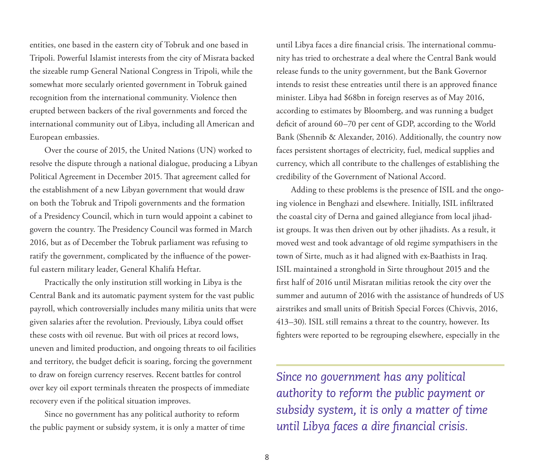entities, one based in the eastern city of Tobruk and one based in Tripoli. Powerful Islamist interests from the city of Misrata backed the sizeable rump General National Congress in Tripoli, while the somewhat more secularly oriented government in Tobruk gained recognition from the international community. Violence then erupted between backers of the rival governments and forced the international community out of Libya, including all American and European embassies.

Over the course of 2015, the United Nations (UN) worked to resolve the dispute through a national dialogue, producing a Libyan Political Agreement in December 2015. That agreement called for the establishment of a new Libyan government that would draw on both the Tobruk and Tripoli governments and the formation of a Presidency Council, which in turn would appoint a cabinet to govern the country. The Presidency Council was formed in March 2016, but as of December the Tobruk parliament was refusing to ratify the government, complicated by the influence of the powerful eastern military leader, General Khalifa Heftar.

Practically the only institution still working in Libya is the Central Bank and its automatic payment system for the vast public payroll, which controversially includes many militia units that were given salaries after the revolution. Previously, Libya could offset these costs with oil revenue. But with oil prices at record lows, uneven and limited production, and ongoing threats to oil facilities and territory, the budget deficit is soaring, forcing the government to draw on foreign currency reserves. Recent battles for control over key oil export terminals threaten the prospects of immediate recovery even if the political situation improves.

Since no government has any political authority to reform the public payment or subsidy system, it is only a matter of time until Libya faces a dire financial crisis. The international community has tried to orchestrate a deal where the Central Bank would release funds to the unity government, but the Bank Governor intends to resist these entreaties until there is an approved finance minister. Libya had \$68bn in foreign reserves as of May 2016, according to estimates by Bloomberg, and was running a budget deficit of around 60–70 per cent of GDP, according to the World Bank (Shennib & Alexander, 2016). Additionally, the country now faces persistent shortages of electricity, fuel, medical supplies and currency, which all contribute to the challenges of establishing the credibility of the Government of National Accord.

Adding to these problems is the presence of ISIL and the ongoing violence in Benghazi and elsewhere. Initially, ISIL infiltrated the coastal city of Derna and gained allegiance from local jihadist groups. It was then driven out by other jihadists. As a result, it moved west and took advantage of old regime sympathisers in the town of Sirte, much as it had aligned with ex-Baathists in Iraq. ISIL maintained a stronghold in Sirte throughout 2015 and the first half of 2016 until Misratan militias retook the city over the summer and autumn of 2016 with the assistance of hundreds of US airstrikes and small units of British Special Forces (Chivvis, 2016, 413–30). ISIL still remains a threat to the country, however. Its fighters were reported to be regrouping elsewhere, especially in the

*Since no government has any political authority to reform the public payment or subsidy system, it is only a matter of time until Libya faces a dire financial crisis.*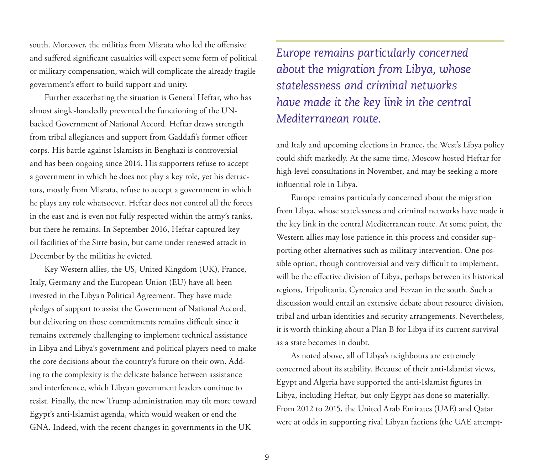south. Moreover, the militias from Misrata who led the offensive and suffered significant casualties will expect some form of political or military compensation, which will complicate the already fragile government's effort to build support and unity.

Further exacerbating the situation is General Heftar, who has almost single-handedly prevented the functioning of the UNbacked Government of National Accord. Heftar draws strength from tribal allegiances and support from Gaddafi's former officer corps. His battle against Islamists in Benghazi is controversial and has been ongoing since 2014. His supporters refuse to accept a government in which he does not play a key role, yet his detractors, mostly from Misrata, refuse to accept a government in which he plays any role whatsoever. Heftar does not control all the forces in the east and is even not fully respected within the army's ranks, but there he remains. In September 2016, Heftar captured key oil facilities of the Sirte basin, but came under renewed attack in December by the militias he evicted.

Key Western allies, the US, United Kingdom (UK), France, Italy, Germany and the European Union (EU) have all been invested in the Libyan Political Agreement. They have made pledges of support to assist the Government of National Accord, but delivering on those commitments remains difficult since it remains extremely challenging to implement technical assistance in Libya and Libya's government and political players need to make the core decisions about the country's future on their own. Adding to the complexity is the delicate balance between assistance and interference, which Libyan government leaders continue to resist. Finally, the new Trump administration may tilt more toward Egypt's anti-Islamist agenda, which would weaken or end the GNA. Indeed, with the recent changes in governments in the UK

*Europe remains particularly concerned about the migration from Libya, whose statelessness and criminal networks have made it the key link in the central Mediterranean route.*

and Italy and upcoming elections in France, the West's Libya policy could shift markedly. At the same time, Moscow hosted Heftar for high-level consultations in November, and may be seeking a more influential role in Libya.

Europe remains particularly concerned about the migration from Libya, whose statelessness and criminal networks have made it the key link in the central Mediterranean route. At some point, the Western allies may lose patience in this process and consider supporting other alternatives such as military intervention. One possible option, though controversial and very difficult to implement, will be the effective division of Libya, perhaps between its historical regions, Tripolitania, Cyrenaica and Fezzan in the south. Such a discussion would entail an extensive debate about resource division, tribal and urban identities and security arrangements. Nevertheless, it is worth thinking about a Plan B for Libya if its current survival as a state becomes in doubt.

As noted above, all of Libya's neighbours are extremely concerned about its stability. Because of their anti-Islamist views, Egypt and Algeria have supported the anti-Islamist figures in Libya, including Heftar, but only Egypt has done so materially. From 2012 to 2015, the United Arab Emirates (UAE) and Qatar were at odds in supporting rival Libyan factions (the UAE attempt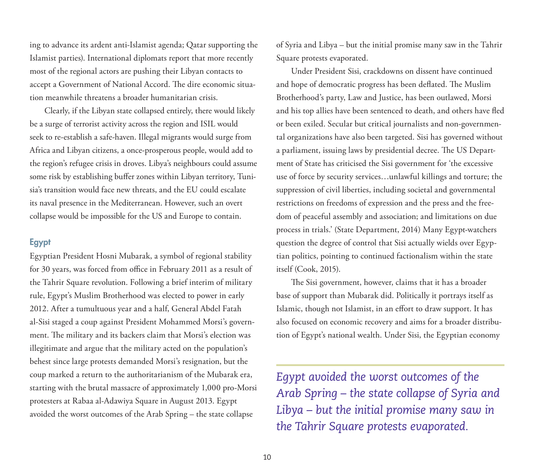ing to advance its ardent anti-Islamist agenda; Qatar supporting the Islamist parties). International diplomats report that more recently most of the regional actors are pushing their Libyan contacts to accept a Government of National Accord. The dire economic situation meanwhile threatens a broader humanitarian crisis.

Clearly, if the Libyan state collapsed entirely, there would likely be a surge of terrorist activity across the region and ISIL would seek to re-establish a safe-haven. Illegal migrants would surge from Africa and Libyan citizens, a once-prosperous people, would add to the region's refugee crisis in droves. Libya's neighbours could assume some risk by establishing buffer zones within Libyan territory, Tunisia's transition would face new threats, and the EU could escalate its naval presence in the Mediterranean. However, such an overt collapse would be impossible for the US and Europe to contain.

#### Egypt

Egyptian President Hosni Mubarak, a symbol of regional stability for 30 years, was forced from office in February 2011 as a result of the Tahrir Square revolution. Following a brief interim of military rule, Egypt's Muslim Brotherhood was elected to power in early 2012. After a tumultuous year and a half, General Abdel Fatah al-Sisi staged a coup against President Mohammed Morsi's government. The military and its backers claim that Morsi's election was illegitimate and argue that the military acted on the population's behest since large protests demanded Morsi's resignation, but the coup marked a return to the authoritarianism of the Mubarak era, starting with the brutal massacre of approximately 1,000 pro-Morsi protesters at Rabaa al-Adawiya Square in August 2013. Egypt avoided the worst outcomes of the Arab Spring – the state collapse

of Syria and Libya – but the initial promise many saw in the Tahrir Square protests evaporated.

Under President Sisi, crackdowns on dissent have continued and hope of democratic progress has been deflated. The Muslim Brotherhood's party, Law and Justice, has been outlawed, Morsi and his top allies have been sentenced to death, and others have fled or been exiled. Secular but critical journalists and non-governmental organizations have also been targeted. Sisi has governed without a parliament, issuing laws by presidential decree. The US Department of State has criticised the Sisi government for 'the excessive use of force by security services…unlawful killings and torture; the suppression of civil liberties, including societal and governmental restrictions on freedoms of expression and the press and the freedom of peaceful assembly and association; and limitations on due process in trials.' (State Department, 2014) Many Egypt-watchers question the degree of control that Sisi actually wields over Egyptian politics, pointing to continued factionalism within the state itself (Cook, 2015).

The Sisi government, however, claims that it has a broader base of support than Mubarak did. Politically it portrays itself as Islamic, though not Islamist, in an effort to draw support. It has also focused on economic recovery and aims for a broader distribution of Egypt's national wealth. Under Sisi, the Egyptian economy

*Egypt avoided the worst outcomes of the Arab Spring – the state collapse of Syria and Libya – but the initial promise many saw in the Tahrir Square protests evaporated.*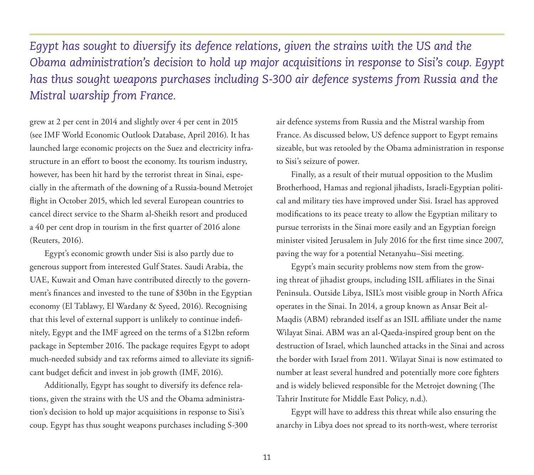*Egypt has sought to diversify its defence relations, given the strains with the US and the Obama administration's decision to hold up major acquisitions in response to Sisi's coup. Egypt has thus sought weapons purchases including S-300 air defence systems from Russia and the Mistral warship from France.*

grew at 2 per cent in 2014 and slightly over 4 per cent in 2015 (see IMF World Economic Outlook Database, April 2016). It has launched large economic projects on the Suez and electricity infrastructure in an effort to boost the economy. Its tourism industry, however, has been hit hard by the terrorist threat in Sinai, especially in the aftermath of the downing of a Russia-bound Metrojet flight in October 2015, which led several European countries to cancel direct service to the Sharm al-Sheikh resort and produced a 40 per cent drop in tourism in the first quarter of 2016 alone (Reuters, 2016).

Egypt's economic growth under Sisi is also partly due to generous support from interested Gulf States. Saudi Arabia, the UAE, Kuwait and Oman have contributed directly to the government's finances and invested to the tune of \$30bn in the Egyptian economy (El Tablawy, El Wardany & Syeed, 2016). Recognising that this level of external support is unlikely to continue indefinitely, Egypt and the IMF agreed on the terms of a \$12bn reform package in September 2016. The package requires Egypt to adopt much-needed subsidy and tax reforms aimed to alleviate its significant budget deficit and invest in job growth (IMF, 2016).

Additionally, Egypt has sought to diversify its defence relations, given the strains with the US and the Obama administration's decision to hold up major acquisitions in response to Sisi's coup. Egypt has thus sought weapons purchases including S-300 air defence systems from Russia and the Mistral warship from France. As discussed below, US defence support to Egypt remains sizeable, but was retooled by the Obama administration in response to Sisi's seizure of power.

Finally, as a result of their mutual opposition to the Muslim Brotherhood, Hamas and regional jihadists, Israeli-Egyptian political and military ties have improved under Sisi. Israel has approved modifications to its peace treaty to allow the Egyptian military to pursue terrorists in the Sinai more easily and an Egyptian foreign minister visited Jerusalem in July 2016 for the first time since 2007, paving the way for a potential Netanyahu–Sisi meeting.

Egypt's main security problems now stem from the growing threat of jihadist groups, including ISIL affiliates in the Sinai Peninsula. Outside Libya, ISIL's most visible group in North Africa operates in the Sinai. In 2014, a group known as Ansar Beit al-Maqdis (ABM) rebranded itself as an ISIL affiliate under the name Wilayat Sinai. ABM was an al-Qaeda-inspired group bent on the destruction of Israel, which launched attacks in the Sinai and across the border with Israel from 2011. Wilayat Sinai is now estimated to number at least several hundred and potentially more core fighters and is widely believed responsible for the Metrojet downing (The Tahrir Institute for Middle East Policy, n.d.).

Egypt will have to address this threat while also ensuring the anarchy in Libya does not spread to its north-west, where terrorist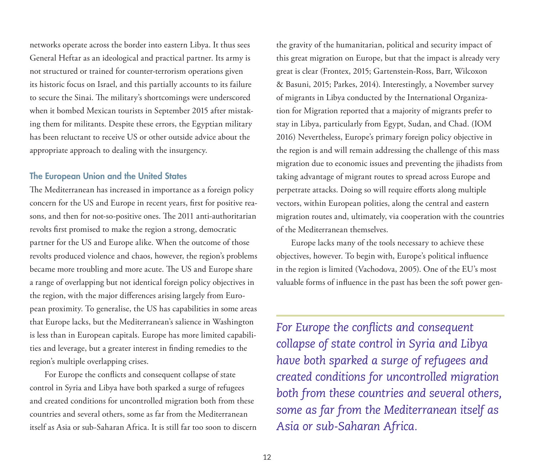networks operate across the border into eastern Libya. It thus sees General Heftar as an ideological and practical partner. Its army is not structured or trained for counter-terrorism operations given its historic focus on Israel, and this partially accounts to its failure to secure the Sinai. The military's shortcomings were underscored when it bombed Mexican tourists in September 2015 after mistaking them for militants. Despite these errors, the Egyptian military has been reluctant to receive US or other outside advice about the appropriate approach to dealing with the insurgency.

#### The European Union and the United States

The Mediterranean has increased in importance as a foreign policy concern for the US and Europe in recent years, first for positive reasons, and then for not-so-positive ones. The 2011 anti-authoritarian revolts first promised to make the region a strong, democratic partner for the US and Europe alike. When the outcome of those revolts produced violence and chaos, however, the region's problems became more troubling and more acute. The US and Europe share a range of overlapping but not identical foreign policy objectives in the region, with the major differences arising largely from European proximity. To generalise, the US has capabilities in some areas that Europe lacks, but the Mediterranean's salience in Washington is less than in European capitals. Europe has more limited capabilities and leverage, but a greater interest in finding remedies to the region's multiple overlapping crises.

For Europe the conflicts and consequent collapse of state control in Syria and Libya have both sparked a surge of refugees and created conditions for uncontrolled migration both from these countries and several others, some as far from the Mediterranean itself as Asia or sub-Saharan Africa. It is still far too soon to discern

the gravity of the humanitarian, political and security impact of this great migration on Europe, but that the impact is already very great is clear (Frontex, 2015; Gartenstein-Ross, Barr, Wilcoxon & Basuni, 2015; Parkes, 2014). Interestingly, a November survey of migrants in Libya conducted by the International Organization for Migration reported that a majority of migrants prefer to stay in Libya, particularly from Egypt, Sudan, and Chad. (IOM 2016) Nevertheless, Europe's primary foreign policy objective in the region is and will remain addressing the challenge of this mass migration due to economic issues and preventing the jihadists from taking advantage of migrant routes to spread across Europe and perpetrate attacks. Doing so will require efforts along multiple vectors, within European polities, along the central and eastern migration routes and, ultimately, via cooperation with the countries of the Mediterranean themselves.

Europe lacks many of the tools necessary to achieve these objectives, however. To begin with, Europe's political influence in the region is limited (Vachodova, 2005). One of the EU's most valuable forms of influence in the past has been the soft power gen-

*For Europe the conflicts and consequent collapse of state control in Syria and Libya have both sparked a surge of refugees and created conditions for uncontrolled migration both from these countries and several others, some as far from the Mediterranean itself as Asia or sub-Saharan Africa.*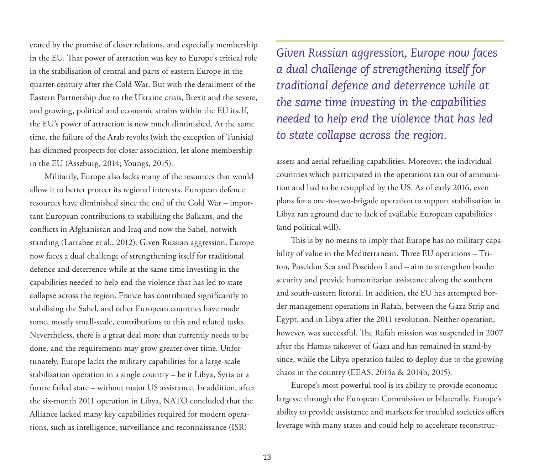erated by the promise of closer relations, and especially membership in the EU. That power of attraction was key to Europe's critical role in the stabilisation of central and parts of eastern Europe in the quarter-century after the Cold War. But with the derailment of the Eastern Partnership due to the Ukraine crisis, Brexit and the severe, and growing, political and economic strains within the EU itself, the EU's power of attraction is now much diminished. At the same time, the failure of the Arab revolts (with the exception of Tunisia) has dimmed prospects for closer association, let alone membership in the EU (Asseburg, 2014; Youngs, 2015).

Militarily, Europe also lacks many of the resources that would allow it to better protect its regional interests. European defence resources have diminished since the end of the Cold War – important European contributions to stabilising the Balkans, and the conflicts in Afghanistan and Iraq and now the Sahel, notwithstanding (Larrabee et al., 2012). Given Russian aggression, Europe now faces a dual challenge of strengthening itself for traditional defence and deterrence while at the same time investing in the capabilities needed to help end the violence that has led to state collapse across the region. France has contributed significantly to stabilising the Sahel, and other European countries have made some, mostly small-scale, contributions to this and related tasks. Nevertheless, there is a great deal more that currently needs to be done, and the requirements may grow greater over time. Unfortunately, Europe lacks the military capabilities for a large-scale stabilisation operation in a single country – be it Libya, Syria or a future failed state – without major US assistance. In addition, after the six-month 2011 operation in Libya, NATO concluded that the Alliance lacked many key capabilities required for modern operations, such as intelligence, surveillance and reconnaissance (ISR)

*Given Russian aggression, Europe now faces a dual challenge of strengthening itself for traditional defence and deterrence while at the same time investing in the capabilities needed to help end the violence that has led to state collapse across the region.*

assets and aerial refuelling capabilities. Moreover, the individual countries which participated in the operations ran out of ammunition and had to be resupplied by the US. As of early 2016, even plans for a one-to-two-brigade operation to support stabilisation in Libya ran aground due to lack of available European capabilities (and political will).

This is by no means to imply that Europe has no military capability of value in the Mediterranean. Three EU operations – Triton, Poseidon Sea and Poseidon Land – aim to strengthen border security and provide humanitarian assistance along the southern and south-eastern littoral. In addition, the EU has attempted border management operations in Rafah, between the Gaza Strip and Egypt, and in Libya after the 2011 revolution. Neither operation, however, was successful. The Rafah mission was suspended in 2007 after the Hamas takeover of Gaza and has remained in stand-by since, while the Libya operation failed to deploy due to the growing chaos in the country (EEAS, 2014a & 2014b, 2015).

Europe's most powerful tool is its ability to provide economic largesse through the European Commission or bilaterally. Europe's ability to provide assistance and markets for troubled societies offers leverage with many states and could help to accelerate reconstruc-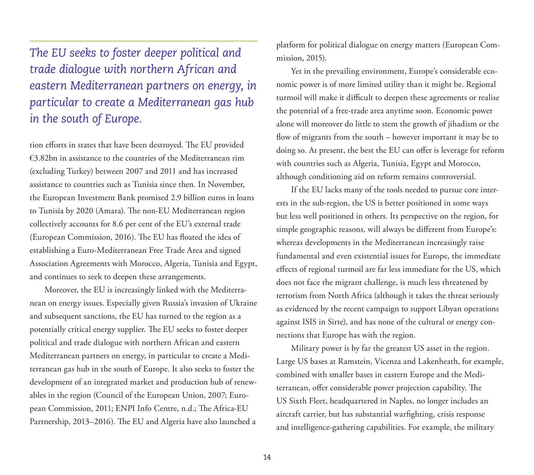*The EU seeks to foster deeper political and trade dialogue with northern African and eastern Mediterranean partners on energy, in particular to create a Mediterranean gas hub in the south of Europe.*

tion efforts in states that have been destroyed. The EU provided €3.82bn in assistance to the countries of the Mediterranean rim (excluding Turkey) between 2007 and 2011 and has increased assistance to countries such as Tunisia since then. In November, the European Investment Bank promised 2.9 billion euros in loans to Tunisia by 2020 (Amara). The non-EU Mediterranean region collectively accounts for 8.6 per cent of the EU's external trade (European Commission, 2016). The EU has floated the idea of establishing a Euro-Mediterranean Free Trade Area and signed Association Agreements with Morocco, Algeria, Tunisia and Egypt, and continues to seek to deepen these arrangements.

Moreover, the EU is increasingly linked with the Mediterranean on energy issues. Especially given Russia's invasion of Ukraine and subsequent sanctions, the EU has turned to the region as a potentially critical energy supplier. The EU seeks to foster deeper political and trade dialogue with northern African and eastern Mediterranean partners on energy, in particular to create a Mediterranean gas hub in the south of Europe. It also seeks to foster the development of an integrated market and production hub of renewables in the region (Council of the European Union, 2007; European Commission, 2011; ENPI Info Centre, n.d.; The Africa-EU Partnership, 2013–2016). The EU and Algeria have also launched a

platform for political dialogue on energy matters (European Commission, 2015).

Yet in the prevailing environment, Europe's considerable economic power is of more limited utility than it might be. Regional turmoil will make it difficult to deepen these agreements or realise the potential of a free-trade area anytime soon. Economic power alone will moreover do little to stem the growth of jihadism or the flow of migrants from the south – however important it may be to doing so. At present, the best the EU can offer is leverage for reform with countries such as Algeria, Tunisia, Egypt and Morocco, although conditioning aid on reform remains controversial.

If the EU lacks many of the tools needed to pursue core interests in the sub-region, the US is better positioned in some ways but less well positioned in others. Its perspective on the region, for simple geographic reasons, will always be different from Europe's: whereas developments in the Mediterranean increasingly raise fundamental and even existential issues for Europe, the immediate effects of regional turmoil are far less immediate for the US, which does not face the migrant challenge, is much less threatened by terrorism from North Africa (although it takes the threat seriously as evidenced by the recent campaign to support Libyan operations against ISIS in Sirte), and has none of the cultural or energy connections that Europe has with the region.

Military power is by far the greatest US asset in the region. Large US bases at Ramstein, Vicenza and Lakenheath, for example, combined with smaller bases in eastern Europe and the Mediterranean, offer considerable power projection capability. The US Sixth Fleet, headquartered in Naples, no longer includes an aircraft carrier, but has substantial warfighting, crisis response and intelligence-gathering capabilities. For example, the military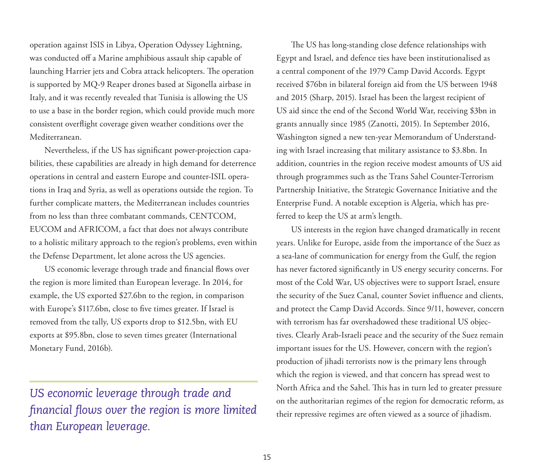operation against ISIS in Libya, Operation Odyssey Lightning, was conducted off a Marine amphibious assault ship capable of launching Harrier jets and Cobra attack helicopters. The operation is supported by MQ-9 Reaper drones based at Sigonella airbase in Italy, and it was recently revealed that Tunisia is allowing the US to use a base in the border region, which could provide much more consistent overflight coverage given weather conditions over the Mediterranean.

Nevertheless, if the US has significant power-projection capabilities, these capabilities are already in high demand for deterrence operations in central and eastern Europe and counter-ISIL operations in Iraq and Syria, as well as operations outside the region. To further complicate matters, the Mediterranean includes countries from no less than three combatant commands, CENTCOM, EUCOM and AFRICOM, a fact that does not always contribute to a holistic military approach to the region's problems, even within the Defense Department, let alone across the US agencies.

US economic leverage through trade and financial flows over the region is more limited than European leverage. In 2014, for example, the US exported \$27.6bn to the region, in comparison with Europe's \$117.6bn, close to five times greater. If Israel is removed from the tally, US exports drop to \$12.5bn, with EU exports at \$95.8bn, close to seven times greater (International Monetary Fund, 2016b).

*US economic leverage through trade and financial flows over the region is more limited than European leverage.*

The US has long-standing close defence relationships with Egypt and Israel, and defence ties have been institutionalised as a central component of the 1979 Camp David Accords. Egypt received \$76bn in bilateral foreign aid from the US between 1948 and 2015 (Sharp, 2015). Israel has been the largest recipient of US aid since the end of the Second World War, receiving \$3bn in grants annually since 1985 (Zanotti, 2015). In September 2016, Washington signed a new ten-year Memorandum of Understanding with Israel increasing that military assistance to \$3.8bn. In addition, countries in the region receive modest amounts of US aid through programmes such as the Trans Sahel Counter-Terrorism Partnership Initiative, the Strategic Governance Initiative and the Enterprise Fund. A notable exception is Algeria, which has preferred to keep the US at arm's length.

US interests in the region have changed dramatically in recent years. Unlike for Europe, aside from the importance of the Suez as a sea-lane of communication for energy from the Gulf, the region has never factored significantly in US energy security concerns. For most of the Cold War, US objectives were to support Israel, ensure the security of the Suez Canal, counter Soviet influence and clients, and protect the Camp David Accords. Since 9/11, however, concern with terrorism has far overshadowed these traditional US objectives. Clearly Arab-Israeli peace and the security of the Suez remain important issues for the US. However, concern with the region's production of jihadi terrorists now is the primary lens through which the region is viewed, and that concern has spread west to North Africa and the Sahel. This has in turn led to greater pressure on the authoritarian regimes of the region for democratic reform, as their repressive regimes are often viewed as a source of jihadism.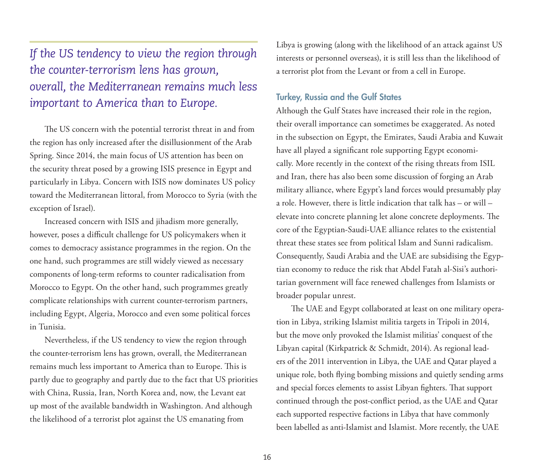## *If the US tendency to view the region through the counter-terrorism lens has grown, overall, the Mediterranean remains much less important to America than to Europe.*

The US concern with the potential terrorist threat in and from the region has only increased after the disillusionment of the Arab Spring. Since 2014, the main focus of US attention has been on the security threat posed by a growing ISIS presence in Egypt and particularly in Libya. Concern with ISIS now dominates US policy toward the Mediterranean littoral, from Morocco to Syria (with the exception of Israel).

Increased concern with ISIS and jihadism more generally, however, poses a difficult challenge for US policymakers when it comes to democracy assistance programmes in the region. On the one hand, such programmes are still widely viewed as necessary components of long-term reforms to counter radicalisation from Morocco to Egypt. On the other hand, such programmes greatly complicate relationships with current counter-terrorism partners, including Egypt, Algeria, Morocco and even some political forces in Tunisia.

Nevertheless, if the US tendency to view the region through the counter-terrorism lens has grown, overall, the Mediterranean remains much less important to America than to Europe. This is partly due to geography and partly due to the fact that US priorities with China, Russia, Iran, North Korea and, now, the Levant eat up most of the available bandwidth in Washington. And although the likelihood of a terrorist plot against the US emanating from

Libya is growing (along with the likelihood of an attack against US interests or personnel overseas), it is still less than the likelihood of a terrorist plot from the Levant or from a cell in Europe.

### Turkey, Russia and the Gulf States

Although the Gulf States have increased their role in the region, their overall importance can sometimes be exaggerated. As noted in the subsection on Egypt, the Emirates, Saudi Arabia and Kuwait have all played a significant role supporting Egypt economically. More recently in the context of the rising threats from ISIL and Iran, there has also been some discussion of forging an Arab military alliance, where Egypt's land forces would presumably play a role. However, there is little indication that talk has – or will – elevate into concrete planning let alone concrete deployments. The core of the Egyptian-Saudi-UAE alliance relates to the existential threat these states see from political Islam and Sunni radicalism. Consequently, Saudi Arabia and the UAE are subsidising the Egyptian economy to reduce the risk that Abdel Fatah al-Sisi's authoritarian government will face renewed challenges from Islamists or broader popular unrest.

The UAE and Egypt collaborated at least on one military operation in Libya, striking Islamist militia targets in Tripoli in 2014, but the move only provoked the Islamist militias' conquest of the Libyan capital (Kirkpatrick & Schmidt, 2014). As regional leaders of the 2011 intervention in Libya, the UAE and Qatar played a unique role, both flying bombing missions and quietly sending arms and special forces elements to assist Libyan fighters. That support continued through the post-conflict period, as the UAE and Qatar each supported respective factions in Libya that have commonly been labelled as anti-Islamist and Islamist. More recently, the UAE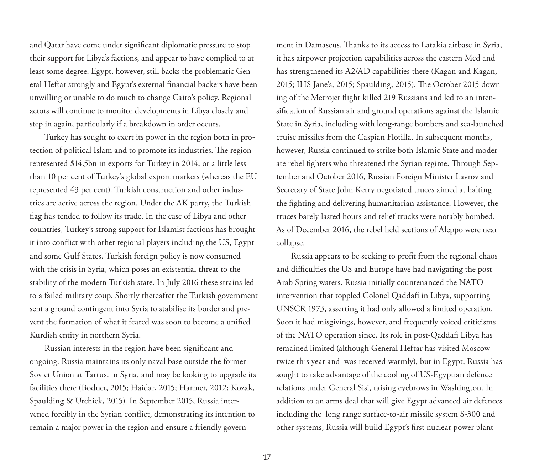and Qatar have come under significant diplomatic pressure to stop their support for Libya's factions, and appear to have complied to at least some degree. Egypt, however, still backs the problematic General Heftar strongly and Egypt's external financial backers have been unwilling or unable to do much to change Cairo's policy. Regional actors will continue to monitor developments in Libya closely and step in again, particularly if a breakdown in order occurs.

Turkey has sought to exert its power in the region both in protection of political Islam and to promote its industries. The region represented \$14.5bn in exports for Turkey in 2014, or a little less than 10 per cent of Turkey's global export markets (whereas the EU represented 43 per cent). Turkish construction and other industries are active across the region. Under the AK party, the Turkish flag has tended to follow its trade. In the case of Libya and other countries, Turkey's strong support for Islamist factions has brought it into conflict with other regional players including the US, Egypt and some Gulf States. Turkish foreign policy is now consumed with the crisis in Syria, which poses an existential threat to the stability of the modern Turkish state. In July 2016 these strains led to a failed military coup. Shortly thereafter the Turkish government sent a ground contingent into Syria to stabilise its border and prevent the formation of what it feared was soon to become a unified Kurdish entity in northern Syria.

Russian interests in the region have been significant and ongoing. Russia maintains its only naval base outside the former Soviet Union at Tartus, in Syria, and may be looking to upgrade its facilities there (Bodner, 2015; Haidar, 2015; Harmer, 2012; Kozak, Spaulding & Urchick, 2015). In September 2015, Russia intervened forcibly in the Syrian conflict, demonstrating its intention to remain a major power in the region and ensure a friendly government in Damascus. Thanks to its access to Latakia airbase in Syria, it has airpower projection capabilities across the eastern Med and has strengthened its A2/AD capabilities there (Kagan and Kagan, 2015; IHS Jane's, 2015; Spaulding, 2015). The October 2015 downing of the Metrojet flight killed 219 Russians and led to an intensification of Russian air and ground operations against the Islamic State in Syria, including with long-range bombers and sea-launched cruise missiles from the Caspian Flotilla. In subsequent months, however, Russia continued to strike both Islamic State and moderate rebel fighters who threatened the Syrian regime. Through September and October 2016, Russian Foreign Minister Lavrov and Secretary of State John Kerry negotiated truces aimed at halting the fighting and delivering humanitarian assistance. However, the truces barely lasted hours and relief trucks were notably bombed. As of December 2016, the rebel held sections of Aleppo were near collapse.

Russia appears to be seeking to profit from the regional chaos and difficulties the US and Europe have had navigating the post-Arab Spring waters. Russia initially countenanced the NATO intervention that toppled Colonel Qaddafi in Libya, supporting UNSCR 1973, asserting it had only allowed a limited operation. Soon it had misgivings, however, and frequently voiced criticisms of the NATO operation since. Its role in post-Qaddafi Libya has remained limited (although General Heftar has visited Moscow twice this year and was received warmly), but in Egypt, Russia has sought to take advantage of the cooling of US-Egyptian defence relations under General Sisi, raising eyebrows in Washington. In addition to an arms deal that will give Egypt advanced air defences including the long range surface-to-air missile system S-300 and other systems, Russia will build Egypt's first nuclear power plant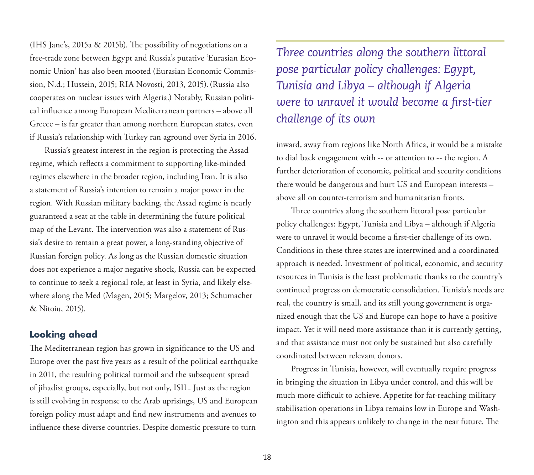(IHS Jane's, 2015a & 2015b). The possibility of negotiations on a free-trade zone between Egypt and Russia's putative 'Eurasian Economic Union' has also been mooted (Eurasian Economic Commission, N.d.; Hussein, 2015; RIA Novosti, 2013, 2015).(Russia also cooperates on nuclear issues with Algeria.) Notably, Russian political influence among European Mediterranean partners – above all Greece – is far greater than among northern European states, even if Russia's relationship with Turkey ran aground over Syria in 2016.

Russia's greatest interest in the region is protecting the Assad regime, which reflects a commitment to supporting like-minded regimes elsewhere in the broader region, including Iran. It is also a statement of Russia's intention to remain a major power in the region. With Russian military backing, the Assad regime is nearly guaranteed a seat at the table in determining the future political map of the Levant. The intervention was also a statement of Russia's desire to remain a great power, a long-standing objective of Russian foreign policy. As long as the Russian domestic situation does not experience a major negative shock, Russia can be expected to continue to seek a regional role, at least in Syria, and likely elsewhere along the Med (Magen, 2015; Margelov, 2013; Schumacher & Nitoiu, 2015).

#### **Looking ahead**

The Mediterranean region has grown in significance to the US and Europe over the past five years as a result of the political earthquake in 2011, the resulting political turmoil and the subsequent spread of jihadist groups, especially, but not only, ISIL. Just as the region is still evolving in response to the Arab uprisings, US and European foreign policy must adapt and find new instruments and avenues to influence these diverse countries. Despite domestic pressure to turn

*Three countries along the southern littoral pose particular policy challenges: Egypt, Tunisia and Libya – although if Algeria were to unravel it would become a first-tier challenge of its own*

inward, away from regions like North Africa, it would be a mistake to dial back engagement with -- or attention to -- the region. A further deterioration of economic, political and security conditions there would be dangerous and hurt US and European interests – above all on counter-terrorism and humanitarian fronts.

Three countries along the southern littoral pose particular policy challenges: Egypt, Tunisia and Libya – although if Algeria were to unravel it would become a first-tier challenge of its own. Conditions in these three states are intertwined and a coordinated approach is needed. Investment of political, economic, and security resources in Tunisia is the least problematic thanks to the country's continued progress on democratic consolidation. Tunisia's needs are real, the country is small, and its still young government is organized enough that the US and Europe can hope to have a positive impact. Yet it will need more assistance than it is currently getting, and that assistance must not only be sustained but also carefully coordinated between relevant donors.

Progress in Tunisia, however, will eventually require progress in bringing the situation in Libya under control, and this will be much more difficult to achieve. Appetite for far-reaching military stabilisation operations in Libya remains low in Europe and Washington and this appears unlikely to change in the near future. The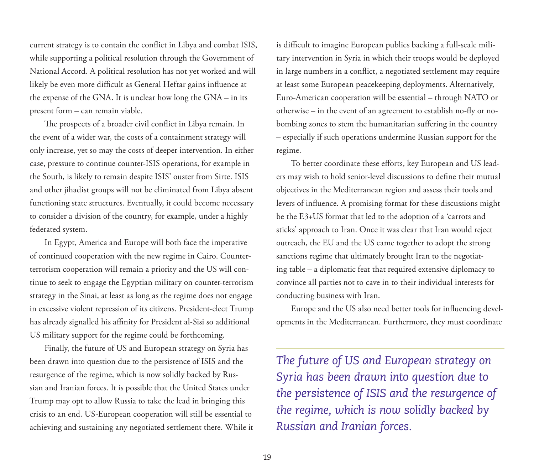current strategy is to contain the conflict in Libya and combat ISIS, while supporting a political resolution through the Government of National Accord. A political resolution has not yet worked and will likely be even more difficult as General Heftar gains influence at the expense of the GNA. It is unclear how long the GNA – in its present form – can remain viable.

The prospects of a broader civil conflict in Libya remain. In the event of a wider war, the costs of a containment strategy will only increase, yet so may the costs of deeper intervention. In either case, pressure to continue counter-ISIS operations, for example in the South, is likely to remain despite ISIS' ouster from Sirte. ISIS and other jihadist groups will not be eliminated from Libya absent functioning state structures. Eventually, it could become necessary to consider a division of the country, for example, under a highly federated system.

In Egypt, America and Europe will both face the imperative of continued cooperation with the new regime in Cairo. Counterterrorism cooperation will remain a priority and the US will continue to seek to engage the Egyptian military on counter-terrorism strategy in the Sinai, at least as long as the regime does not engage in excessive violent repression of its citizens. President-elect Trump has already signalled his affinity for President al-Sisi so additional US military support for the regime could be forthcoming.

Finally, the future of US and European strategy on Syria has been drawn into question due to the persistence of ISIS and the resurgence of the regime, which is now solidly backed by Russian and Iranian forces. It is possible that the United States under Trump may opt to allow Russia to take the lead in bringing this crisis to an end. US-European cooperation will still be essential to achieving and sustaining any negotiated settlement there. While it is difficult to imagine European publics backing a full-scale military intervention in Syria in which their troops would be deployed in large numbers in a conflict, a negotiated settlement may require at least some European peacekeeping deployments. Alternatively, Euro-American cooperation will be essential – through NATO or otherwise – in the event of an agreement to establish no-fly or nobombing zones to stem the humanitarian suffering in the country – especially if such operations undermine Russian support for the regime.

To better coordinate these efforts, key European and US leaders may wish to hold senior-level discussions to define their mutual objectives in the Mediterranean region and assess their tools and levers of influence. A promising format for these discussions might be the E3+US format that led to the adoption of a 'carrots and sticks' approach to Iran. Once it was clear that Iran would reject outreach, the EU and the US came together to adopt the strong sanctions regime that ultimately brought Iran to the negotiating table – a diplomatic feat that required extensive diplomacy to convince all parties not to cave in to their individual interests for conducting business with Iran.

Europe and the US also need better tools for influencing developments in the Mediterranean. Furthermore, they must coordinate

*The future of US and European strategy on Syria has been drawn into question due to the persistence of ISIS and the resurgence of the regime, which is now solidly backed by Russian and Iranian forces.*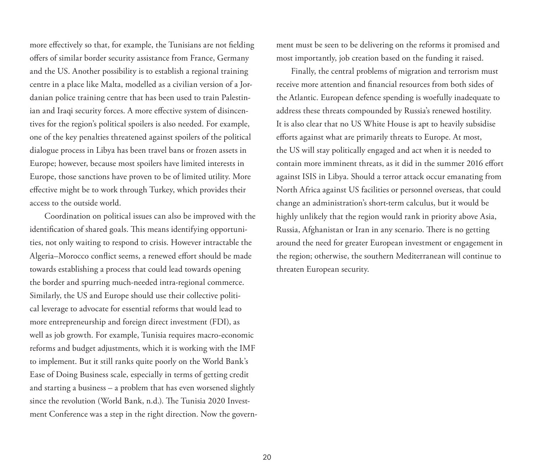more effectively so that, for example, the Tunisians are not fielding offers of similar border security assistance from France, Germany and the US. Another possibility is to establish a regional training centre in a place like Malta, modelled as a civilian version of a Jordanian police training centre that has been used to train Palestinian and Iraqi security forces. A more effective system of disincentives for the region's political spoilers is also needed. For example, one of the key penalties threatened against spoilers of the political dialogue process in Libya has been travel bans or frozen assets in Europe; however, because most spoilers have limited interests in Europe, those sanctions have proven to be of limited utility. More effective might be to work through Turkey, which provides their access to the outside world.

Coordination on political issues can also be improved with the identification of shared goals. This means identifying opportunities, not only waiting to respond to crisis. However intractable the Algeria–Morocco conflict seems, a renewed effort should be made towards establishing a process that could lead towards opening the border and spurring much-needed intra-regional commerce. Similarly, the US and Europe should use their collective political leverage to advocate for essential reforms that would lead to more entrepreneurship and foreign direct investment (FDI), as well as job growth. For example, Tunisia requires macro-economic reforms and budget adjustments, which it is working with the IMF to implement. But it still ranks quite poorly on the World Bank's Ease of Doing Business scale, especially in terms of getting credit and starting a business – a problem that has even worsened slightly since the revolution (World Bank, n.d.). The Tunisia 2020 Investment Conference was a step in the right direction. Now the government must be seen to be delivering on the reforms it promised and most importantly, job creation based on the funding it raised.

Finally, the central problems of migration and terrorism must receive more attention and financial resources from both sides of the Atlantic. European defence spending is woefully inadequate to address these threats compounded by Russia's renewed hostility. It is also clear that no US White House is apt to heavily subsidise efforts against what are primarily threats to Europe. At most, the US will stay politically engaged and act when it is needed to contain more imminent threats, as it did in the summer 2016 effort against ISIS in Libya. Should a terror attack occur emanating from North Africa against US facilities or personnel overseas, that could change an administration's short-term calculus, but it would be highly unlikely that the region would rank in priority above Asia, Russia, Afghanistan or Iran in any scenario. There is no getting around the need for greater European investment or engagement in the region; otherwise, the southern Mediterranean will continue to threaten European security.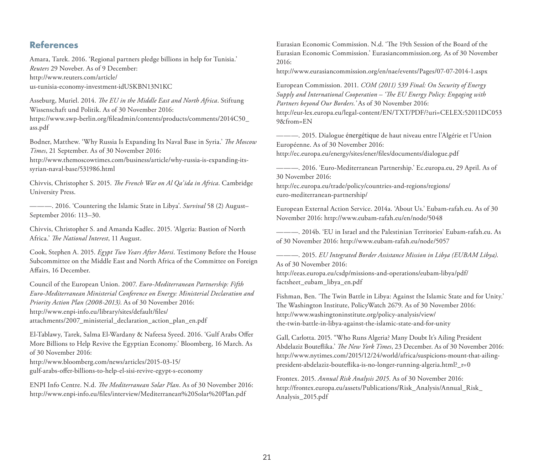#### **References**

Amara, Tarek. 2016. 'Regional partners pledge billions in help for Tunisia.' *Reuters* 29 Noveber. As of 9 December: http://www.reuters.com/article/ [us-tunisia-economy-investment-idUSKBN13N1KC](http://www.reuters.com/article/us-tunisia-economy-investment-idUSKBN13N1KC)

Asseburg, Muriel. 2014. *The EU in the Middle East and North Africa*. Stiftung Wissenschaft und Politik. As of 30 November 2016: [https://www.swp-berlin.org/fileadmin/contents/products/comments/2014C50\\_](https://www.swp-berlin.org/fileadmin/contents/products/comments/2014C50_ass.pdf) ass.pdf

Bodner, Matthew. 'Why Russia Is Expanding Its Naval Base in Syria.' *The Moscow Times*, 21 September. As of 30 November 2016:

[http://www.themoscowtimes.com/business/article/why-russia-is-expanding-its](http://www.themoscowtimes.com/business/article/why-russia-is-expanding-its-syrian-naval-base/531986.html)syrian-naval-base/531986.html

Chivvis, Christopher S. 2015. *The French War on Al Qa'ida in Africa*. Cambridge University Press.

———. 2016. 'Countering the Islamic State in Libya'. *Survival* 58 (2) August– September 2016: 113–30.

Chivvis, Christopher S. and Amanda Kadlec. 2015. 'Algeria: Bastion of North Africa.' *The National Interest*, 11 August.

Cook, Stephen A. 2015. *Egypt Two Years After Morsi*. Testimony Before the House Subcommittee on the Middle East and North Africa of the Committee on Foreign Affairs, 16 December.

Council of the European Union. 2007. *Euro-Mediterranean Partnership: Fifth Euro-Mediterranean Ministerial Conference on Energy: Ministerial Declaration and Priority Action Plan (2008-2013)*. As of 30 November 2016: http://www.enpi-info.eu/library/sites/default/files/ [attachments/2007\\_ministerial\\_declaration\\_action\\_plan\\_en.pdf](http://www.enpi-info.eu/library/sites/default/files/attachments/2007_ministerial_declaration_action_plan_en.pdf) 

El-Tablawy, Tarek, Salma El-Wardany & Nafeesa Syeed. 2016. 'Gulf Arabs Offer More Billions to Help Revive the Egyptian Economy.' Bloomberg, 16 March. As of 30 November 2016:

http://www.bloomberg.com/news/articles/2015-03-15/ [gulf-arabs-offer-billions-to-help-el-sisi-revive-egypt-s-economy](http://www.bloomberg.com/news/articles/2015-03-15/gulf-arabs-offer-billions-to-help-el-sisi-revive-egypt-s-economy)

ENPI Info Centre. N.d. *The Mediterranean Solar Plan*. As of 30 November 2016: <http://www.enpi-info.eu/files/interview/Mediterranean%20Solar%20Plan.pdf>

Eurasian Economic Commission. N.d. 'The 19th Session of the Board of the Eurasian Economic Commission.' Eurasiancommission.org. As of 30 November 2016:

<http://www.eurasiancommission.org/en/nae/events/Pages/07-07-2014-1.aspx>

European Commission. 2011. *COM (2011) 539 Final: On Security of Energy Supply and International Cooperation – 'The EU Energy Policy: Engaging with Partners beyond Our Borders.'* As of 30 November 2016: [http://eur-lex.europa.eu/legal-content/EN/TXT/PDF/?uri=CELEX:52011DC053](http://eur-lex.europa.eu/legal-content/EN/TXT/PDF/?uri=CELEX:52011DC0539&from=EN) 9&from=EN

———. 2015. Dialogue énergétique de haut niveau entre l'Algérie et l'Union Européenne. As of 30 November 2016: <http://ec.europa.eu/energy/sites/ener/files/documents/dialogue.pdf>

———. 2016. 'Euro-Mediterranean Partnership.' Ec.europa.eu, 29 April. As of 30 November 2016: [http://ec.europa.eu/trade/policy/countries-and-regions/regions/](http://ec.europa.eu/trade/policy/countries-and-regions/regions/euro-mediterranean-partnership/) euro-mediterranean-partnership/

European External Action Service. 2014a. 'About Us.' Eubam-rafah.eu. As of 30 November 2016:<http://www.eubam-rafah.eu/en/node/5048>

———. 2014b. 'EU in Israel and the Palestinian Territories' Eubam-rafah.eu. As of 30 November 2016: <http://www.eubam-rafah.eu/node/5057>

———. 2015. *EU Integrated Border Assistance Mission in Libya (EUBAM Libya)*. As of 30 November 2016:

[http://eeas.europa.eu/csdp/missions-and-operations/eubam-libya/pdf/](http://eeas.europa.eu/csdp/missions-and-operations/eubam-libya/pdf/factsheet_eubam_libya_en.pdf) factsheet\_eubam\_libya\_en.pdf

Fishman, Ben. 'The Twin Battle in Libya: Against the Islamic State and for Unity.' The Washington Institute, PolicyWatch 2679. As of 30 November 2016: http://www.washingtoninstitute.org/policy-analysis/view/ [the-twin-battle-in-libya-against-the-islamic-state-and-for-unity](http://www.washingtoninstitute.org/policy-analysis/view/the-twin-battle-in-libya-against-the-islamic-state-and-for-unity)

Gall, Carlotta. 2015. "Who Runs Algeria? Many Doubt It's Ailing President Abdelaziz Bouteflika.' *The New York Times*, 23 December. As of 30 November 2016: [http://www.nytimes.com/2015/12/24/world/africa/suspicions-mount-that-ailing](http://www.nytimes.com/2015/12/24/world/africa/suspicions-mount-that-ailing-president-abdelaziz-bouteflika-is-no-longer-running-algeria.html?_r=0)president-abdelaziz-bouteflika-is-no-longer-running-algeria.html?\_r=0

Frontex. 2015. *Annual Risk Analysis 2015*. As of 30 November 2016: [http://frontex.europa.eu/assets/Publications/Risk\\_Analysis/Annual\\_Risk\\_](http://www.nytimes.com/2015/12/24/world/africa/suspicions-mount-that-ailing-president-abdelaziz-bouteflika-is-no-longer-running-algeria.html?_r=0) Analysis\_2015.pdf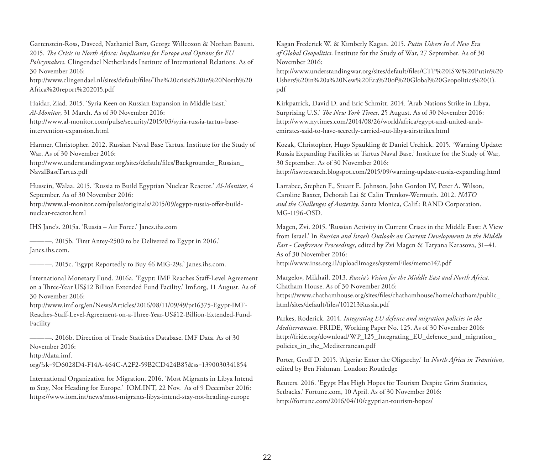Gartenstein-Ross, Daveed, Nathaniel Barr, George Willcoxon & Norhan Basuni. 2015. *The Crisis in North Africa: Implication for Europe and Options for EU Policymakers*. Clingendael Netherlands Institute of International Relations. As of 30 November 2016:

[http://www.clingendael.nl/sites/default/files/The%20crisis%20in%20North%20](http://www.clingendael.nl/sites/default/files/The%20crisis%20in%20North%20Africa%20report%202015.pdf) Africa%20report%202015.pdf

Haidar, Ziad. 2015. 'Syria Keen on Russian Expansion in Middle East.' *Al-Monitor*, 31 March. As of 30 November 2016: [http://www.al-monitor.com/pulse/security/2015/03/syria-russia-tartus-base](http://www.al-monitor.com/pulse/security/2015/03/syria-russia-tartus-base-intervention-expansion.html)intervention-expansion.html

Harmer, Christopher. 2012. Russian Naval Base Tartus. Institute for the Study of War. As of 30 November 2016:

[http://www.understandingwar.org/sites/default/files/Backgrounder\\_Russian\\_](http://www.understandingwar.org/sites/default/files/Backgrounder_Russian_NavalBaseTartus.pdf) NavalBaseTartus.pdf

Hussein, Walaa. 2015. 'Russia to Build Egyptian Nuclear Reactor.' *Al-Monitor*, 4 September. As of 30 November 2016:

[http://www.al-monitor.com/pulse/originals/2015/09/egypt-russia-offer-build](http://www.al-monitor.com/pulse/originals/2015/09/egypt-russia-offer-build-nuclear-reactor.html)nuclear-reactor.html

IHS Jane's. 2015a. 'Russia – Air Force.' Janes.ihs.com

———. 2015b. 'First Antey-2500 to be Delivered to Egypt in 2016.' Janes.ihs.com.

———. 2015c. 'Egypt Reportedly to Buy 46 MiG-29s.' Janes.ihs.com.

International Monetary Fund. 2016a. 'Egypt: IMF Reaches Staff-Level Agreement on a Three-Year US\$12 Billion Extended Fund Facility.' Imf.org, 11 August. As of 30 November 2016:

http://www.imf.org/en/News/Articles/2016/08/11/09/49/pr16375-Egypt-IMF-[Reaches-Staff-Level-Agreement-on-a-Three-Year-US\\$12-Billion-Extended-Fund-](http://www.imf.org/en/News/Articles/2016/08/11/09/49/pr16375-Egypt-IMF-Reaches-Staff-Level-Agreement-on-a-Three-Year-US$12-Billion-Extended-Fund-Facility)Facility

———. 2016b. Direction of Trade Statistics Database. IMF Data. As of 30 November 2016:

http://data.imf.

[org/?sk=9D6028D4-F14A-464C-A2F2-59B2CD424B85&ss=1390030341854](http://data.imf.org/?sk=9D6028D4-F14A-464C-A2F2-59B2CD424B85&ss=1390030341854)

International Organization for Migration. 2016. 'Most Migrants in Libya Intend to Stay, Not Heading for Europe.' IOM.INT, 22 Nov. As of 9 December 2016: <https://www.iom.int/news/most-migrants-libya-intend-stay-not-heading-europe>

Kagan Frederick W. & Kimberly Kagan. 2015. *Putin Ushers In A New Era of Global Geopolitics*. Institute for the Study of War, 27 September. As of 30 November 2016:

[http://www.understandingwar.org/sites/default/files/CTP%20ISW%20Putin%20](http://www.understandingwar.org/sites/default/files/CTP%20ISW%20Putin%20Ushers%20in%20a%20New%20Era%20of%20Global%20Geopolitics%20(1).pdf) Ushers%20in%20a%20New%20Era%20of%20Global%20Geopolitics%20(1). pdf

Kirkpatrick, David D. and Eric Schmitt. 2014. 'Arab Nations Strike in Libya, Surprising U.S.' *The New York Times*, 25 August. As of 30 November 2016: [http://www.nytimes.com/2014/08/26/world/africa/egypt-and-united-arab](http://www.nytimes.com/2014/08/26/world/africa/egypt-and-united-arab-emirates-said-to-have-secretly-carried-out-libya-airstrikes.html)emirates-said-to-have-secretly-carried-out-libya-airstrikes.html

Kozak, Christopher, Hugo Spaulding & Daniel Urchick. 2015. 'Warning Update: Russia Expanding Facilities at Tartus Naval Base.' Institute for the Study of War, 30 September. As of 30 November 2016:

<http://iswresearch.blogspot.com/2015/09/warning-update-russia-expanding.html>

Larrabee, Stephen F., Stuart E. Johnson, John Gordon IV, Peter A. Wilson, Caroline Baxter, Deborah Lai & Calin Trenkov-Wermuth. 2012. *NATO and the Challenges of Austerity*. Santa Monica, Calif.: RAND Corporation. MG-1196-OSD.

Magen, Zvi. 2015. 'Russian Activity in Current Crises in the Middle East: A View from Israel.' In *Russian and Israeli Outlooks on Current Developments in the Middle East - Conference Proceedings*, edited by Zvi Magen & Tatyana Karasova, 31–41. As of 30 November 2016: <http://www.inss.org.il/uploadImages/systemFiles/memo147.pdf>

Margelov, Mikhail. 2013. *Russia's Vision for the Middle East and North Africa*. Chatham House. As of 30 November 2016: [https://www.chathamhouse.org/sites/files/chathamhouse/home/chatham/public\\_](https://www.chathamhouse.org/sites/files/chathamhouse/home/chatham/public_html/sites/default/files/101213Russia.pdf) html/sites/default/files/101213Russia.pdf

Parkes, Roderick. 2014. *Integrating EU defence and migration policies in the Mediterranean*. FRIDE, Working Paper No. 125. As of 30 November 2016: [http://fride.org/download/WP\\_125\\_Integrating\\_EU\\_defence\\_and\\_migration\\_](http://fride.org/download/WP_125_Integrating_EU_defence_and_migration_policies_in_the_Mediterranean.pdf) policies\_in\_the\_Mediterranean.pdf

Porter, Geoff D. 2015. 'Algeria: Enter the Oligarchy.' In *North Africa in Transition*, edited by Ben Fishman. London: Routledge

Reuters. 2016. 'Egypt Has High Hopes for Tourism Despite Grim Statistics, Setbacks.' Fortune.com, 10 April. As of 30 November 2016: http://fortune.com/2016/04/10/egyptian-tourism-hopes/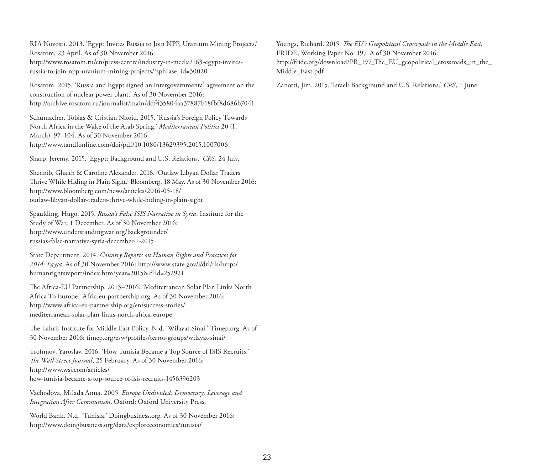RIA Novosti. 2013. 'Egypt Invites Russia to Join NPP, Uranium Mining Projects.' Rosatom, 23 April. As of 30 November 2016: [http://www.rosatom.ru/en/press-centre/industry-in-media/163-egypt-invites](http://www.rosatom.ru/en/press-centre/industry-in-media/163-egypt-invites-russia-to-join-npp-uranium-mining-projects/?sphrase_id=30020)russia-to-join-npp-uranium-mining-projects/?sphrase\_id=30020

Rosatom. 2015. 'Russia and Egypt signed an intergovernmental agreement on the construction of nuclear power plant.' As of 30 November 2016: <http://archive.rosatom.ru/journalist/main/ddf435804aa37887b18fbf8d686b7041>

Schumacher, Tobias & Cristian Nitoiu. 2015. 'Russia's Foreign Policy Towards North Africa in the Wake of the Arab Spring.' *Mediterranean Politics* 20 (1, March): 97–104. As of 30 November 2016: <http://www.tandfonline.com/doi/pdf/10.1080/13629395.2015.1007006>

Sharp, Jeremy. 2015. 'Egypt: Background and U.S. Relations.' *CRS*, 24 July.

Shennib, Ghaith & Caroline Alexander. 2016. 'Outlaw Libyan Dollar Traders Thrive While Hiding in Plain Sight.' Bloomberg, 18 May. As of 30 November 2016: http://www.bloomberg.com/news/articles/2016-05-18/ [outlaw-libyan-dollar-traders-thrive-while-hiding-in-plain-sight](http://www.bloomberg.com/news/articles/2016-05-18/outlaw-libyan-dollar-traders-thrive-while-hiding-in-plain-sight)

Spaulding, Hugo. 2015. *Russia's False ISIS Narrative in Syria*. Institute for the Study of War, 1 December. As of 30 November 2016: [http://www.understandingwar.org/backgrounder/](http://www.understandingwar.org/backgrounder/russias-false-narrative-syria-december-1-2015) russias-false-narrative-syria-december-1-2015

State Department. 2014. *Country Reports on Human Rights and Practices for 2014: Egypt*[. As of 30 November 2016: http://www.state.gov/j/drl/rls/hrrpt/](http://www.state.gov/j/drl/rls/hrrpt/humanrightsreport/index.htm?year=2015&dlid=252921) humanrightsreport/index.htm?year=2015&dlid=252921

The Africa-EU Partnership. 2013–2016. 'Mediterranean Solar Plan Links North Africa To Europe.' Afric-eu-partnership.org. As of 30 November 2016: [http://www.africa-eu-partnership.org/en/success-stories/](http://www.africa-eu-partnership.org/en/success-stories/mediterranean-solar-plan-links-north-africa-europe) mediterranean-solar-plan-links-north-africa-europe

The Tahrir Institute for Middle East Policy. N.d. 'Wilayat Sinai.' Timep.org. As of 30 November 2016: timep.org/esw/profiles/terror-groups/wilayat-sinai/

Trofimov, Yaroslav. 2016. 'How Tunisia Became a Top Source of ISIS Recruits.' *The Wall Street Journal*, 25 February. As of 30 November 2016: http://www.wsj.com/articles/ [how-tunisia-became-a-top-source-of-isis-recruits-1456396203](http://www.wsj.com/articles/how-tunisia-became-a-top-source-of-isis-recruits-1456396203)

Vachodova, Milada Anna. 2005. *Europe Undivided: Democracy, Leverage and Integration After Communism*. Oxford: Oxford University Press.

World Bank. N.d. 'Tunisia.' Doingbusiness.org. As of 30 November 2016: <http://www.doingbusiness.org/data/exploreeconomies/tunisia/>

Youngs, Richard. 2015. *The EU's Geopolitical Crossroads in the Middle East*. FRIDE, Working Paper No. 197. A of 30 November 2016: [http://fride.org/download/PB\\_197\\_The\\_EU\\_geopolitical\\_crossroads\\_in\\_the\\_](http://fride.org/download/PB_197_The_EU_geopolitical_crossroads_in_the_Middle_East.pdf) Middle\_East.pdf

Zanotti, Jim. 2015. 'Israel: Background and U.S. Relations.' *CRS*, 1 June.